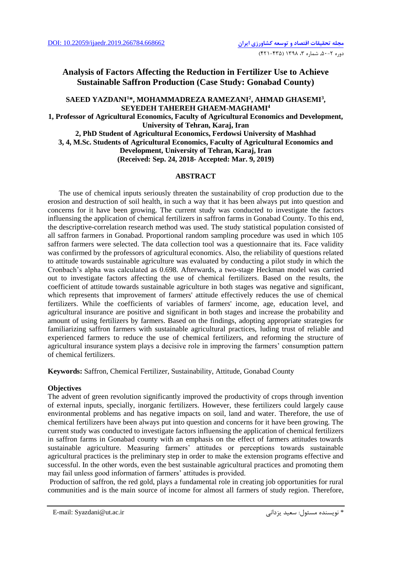## **Analysis of Factors Affecting the Reduction in Fertilizer Use to Achieve Sustainable Saffron Production (Case Study: Gonabad County)**

**SAEED YAZDANI<sup>1</sup>\*, MOHAMMADREZA RAMEZANI<sup>2</sup> , AHMAD GHASEMI<sup>3</sup> , SEYEDEH TAHEREH GHAEM-MAGHAMI<sup>4</sup> 1, Professor of Agricultural Economics, Faculty of Agricultural Economics and Development, University of Tehran, Karaj, Iran 2, PhD Student of Agricultural Economics, Ferdowsi University of Mashhad 3, 4, M.Sc. Students of Agricultural Economics, Faculty of Agricultural Economics and Development, University of Tehran, Karaj, Iran (Received: Sep. 24, 2018- Accepted: Mar. 9, 2019)**

## **ABSTRACT**

 The use of chemical inputs seriously threaten the sustainability of crop production due to the erosion and destruction of soil health, in such a way that it has been always put into question and concerns for it have been growing. The current study was conducted to investigate the factors influensing the application of chemical fertilizers in saffron farms in Gonabad County. To this end, the descriptive-correlation research method was used. The study statistical population consisted of all saffron farmers in Gonabad. Proportional random sampling procedure was used in which 105 saffron farmers were selected. The data collection tool was a questionnaire that its. Face validity was confirmed by the professors of agricultural economics. Also, the reliability of questions related to attitude towards sustainable agriculture was evaluated by conducting a pilot study in which the Cronbach's alpha was calculated as 0.698. Afterwards, a two-stage Heckman model was carried out to investigate factors affecting the use of chemical fertilizers. Based on the results, the coefficient of attitude towards sustainable agriculture in both stages was negative and significant, which represents that improvement of farmers' attitude effectively reduces the use of chemical fertilizers. While the coefficients of variables of farmers' income, age, education level, and agricultural insurance are positive and significant in both stages and increase the probability and amount of using fertilizers by farmers. Based on the findings, adopting appropriate strategies for familiarizing saffron farmers with sustainable agricultural practices, luding trust of reliable and experienced farmers to reduce the use of chemical fertilizers, and reforming the structure of agricultural insurance system plays a decisive role in improving the farmers' consumption pattern of chemical fertilizers.

**Keywords:** Saffron, Chemical Fertilizer, Sustainability, Attitude, Gonabad County

## **Objectives**

The advent of green revolution significantly improved the productivity of crops through invention of external inputs, specially, inorganic fertilizers. However, these fertilizers could largely cause environmental problems and has negative impacts on soil, land and water. Therefore, the use of chemical fertilizers have been always put into question and concerns for it have been growing. The current study was conducted to investigate factors influensing the application of chemical fertilizers in saffron farms in Gonabad county with an emphasis on the effect of farmers attitudes towards sustainable agriculture. Measuring farmers' attitudes or perceptions towards sustainable agricultural practices is the preliminary step in order to make the extension programs effective and successful. In the other words, even the best sustainable agricultural practices and promoting them may fail unless good information of farmers' attitudes is provided.

Production of saffron, the red gold, plays a fundamental role in creating job opportunities for rural communities and is the main source of income for almost all farmers of study region. Therefore,

E-mail: Syazdani@ut.ac.ir يزدانی سعید :مسئول نويسنده\*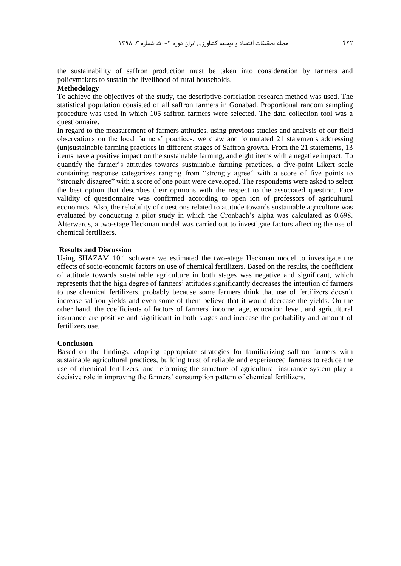the sustainability of saffron production must be taken into consideration by farmers and policymakers to sustain the livelihood of rural households.

## **Methodology**

To achieve the objectives of the study, the descriptive-correlation research method was used. The statistical population consisted of all saffron farmers in Gonabad. Proportional random sampling procedure was used in which 105 saffron farmers were selected. The data collection tool was a questionnaire.

In regard to the measurement of farmers attitudes, using previous studies and analysis of our field observations on the local farmers' practices, we draw and formulated 21 statements addressing (un)sustainable farming practices in different stages of Saffron growth. From the 21 statements, 13 items have a positive impact on the sustainable farming, and eight items with a negative impact. To quantify the farmer's attitudes towards sustainable farming practices, a five-point Likert scale containing response categorizes ranging from "strongly agree" with a score of five points to "strongly disagree" with a score of one point were developed. The respondents were asked to select the best option that describes their opinions with the respect to the associated question. Face validity of questionnaire was confirmed according to open ion of professors of agricultural economics. Also, the reliability of questions related to attitude towards sustainable agriculture was evaluated by conducting a pilot study in which the Cronbach's alpha was calculated as 0.698. Afterwards, a two-stage Heckman model was carried out to investigate factors affecting the use of chemical fertilizers.

## **Results and Discussion**

Using SHAZAM 10.1 software we estimated the two-stage Heckman model to investigate the effects of socio-economic factors on use of chemical fertilizers. Based on the results, the coefficient of attitude towards sustainable agriculture in both stages was negative and significant, which represents that the high degree of farmers' attitudes significantly decreases the intention of farmers to use chemical fertilizers, probably because some farmers think that use of fertilizers doesn't increase saffron yields and even some of them believe that it would decrease the yields. On the other hand, the coefficients of factors of farmers' income, age, education level, and agricultural insurance are positive and significant in both stages and increase the probability and amount of fertilizers use.

#### **Conclusion**

Based on the findings, adopting appropriate strategies for familiarizing saffron farmers with sustainable agricultural practices, building trust of reliable and experienced farmers to reduce the use of chemical fertilizers, and reforming the structure of agricultural insurance system play a decisive role in improving the farmers' consumption pattern of chemical fertilizers.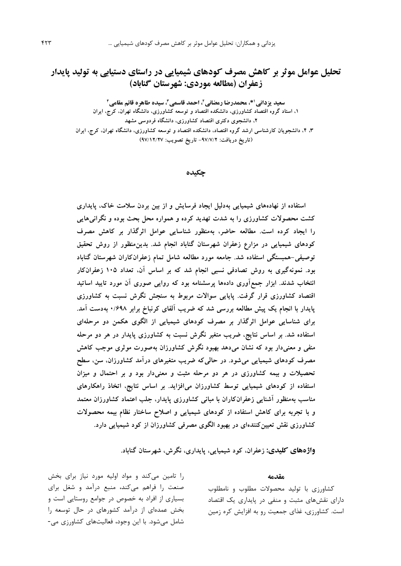# **تحلیل عوامل موثر بر کاهش مصرف کودهای شیمیایی در راستای دستیابی به تولید پایدار زعفران )مطالعه موردی: شهرستان گناباد(**

**\*، محمدرضا رمضانی <sup>1</sup> سعید یزدانی ،<sup>2</sup> احمد قاسمی،<sup>3</sup> سیده طاهره قائم مقامی<sup>4</sup> ،1 استاد گروه اقتصاد کشاورزی، دانشکده اقتصاد و توسعه کشاورزی، دانشگاه تهران، کرج، ایران ،2 دانشجوی دکتری اقتصاد کشاورزی، دانشگاه فردوسی مشهد ،3 ،4 دانشجویان کارشناسی ارشد گروه اقتصاد، دانشکده اقتصاد و توسعه کشاورزی، دانشگاه تهران، کرج، ایران )تاریخ دریافت: -97/7/2 تاریخ تصویب: 97/12/27(**

#### **چکیده**

**استفاده از نهادههای شیمیایی بهدلیل ایجاد فرسایش و از بین بردن سالمت خاک، پایداری کشت محصوالت کشاورزی را به شدت تهدید کرده و همواره محل بحث بوده و نگرانیهایی را ایجاد کرده است. مطالعه حاضر، بهمنظور شناسایی عوامل اثرگذار بر کاهش مصرف کودهای شیمیایی در مزارع زعفران شهرستان گناباد انجام شد. بدینمنظور از روش تحقیق توصیفی-همبستگی استفاده شد. جامعه مورد مطالعه شامل تمام زعفرانکاران شهرستان گناباد بود. نمونهگیری به روش تصادفی نسبی انجام شد که بر اساس آن، تعداد 105 زعفرانکار انتخاب شدند. ابزار جمعآوری دادهها پرسشنامه بود که روایی صوری آن مورد تایید اساتید اقتصاد کشاورزی قرار گرفت. پایایی سواالت مربوط به سنجش نگرش نسبت به کشاورزی پایدار با انجام یک پیش مطالعه بررسی شد که ضریب آلفای کرنباخ برابر 0/698 بهدست آمد. برای شناسایی عوامل اثرگذار بر مصرف کودهای شیمیایی از الگوی هکمن دو مرحلهای استفاده شد. بر اساس نتایج، ضریب متغیر نگرش نسبت به کشاورزی پایدار در هر دو مرحله منفی و معنیدار بود که نشان میدهد بهبود نگرش کشاورزان بهصورت موثری موجب کاهش مصرف کودهای شیمیایی میشود. در حالیکه ضریب متغیرهای درآمد کشاورزان، سن، سطح تحصیالت و بیمه کشاورزی در هر دو مرحله مثبت و معنیدار بود و بر احتمال و میزان استفاده از کودهای شیمیایی توسط کشاورزان میافزاید. بر اساس نتایج، اتخاذ راهکارهای مناسب بهمنظور آشنایی زعفرانکاران با مبانی کشاورزی پایدار، جلب اعتماد کشاورزان معتمد و با تجربه برای کاهش استفاده از کودهای شیمیایی و اصالح ساختار نظام بیمه محصوالت کشاورزی نقش تعیینکنندهای در بهبود الگوی مصرفی کشاورزان از کود شیمیایی دارد.** 

**واژههای کلیدی: زعفران، کود شیمیایی، پایداری، نگرش، شهرستان گناباد.**

#### **مقدمه**

کشاورزي با تولید محصوالت مطلوب و نامطلوب داراي نقشهاي مثبت و منفی در پايداري يک اقتصاد است. کشاورزي، غذاي جمعیت رو به افزايش کره زمین

را تامین میکند و مواد اولیه مورد نیاز براي بخش صنعت را فراهم میکند، منبع درآمد و شغل براي بسیاري از افراد به خصوص در جوامع روستايی است و بخش عمدهاي از درآمد کشورهاي در حال توسعه را شامل میشود. با اين وجود، فعالیتهاي کشاورزي می-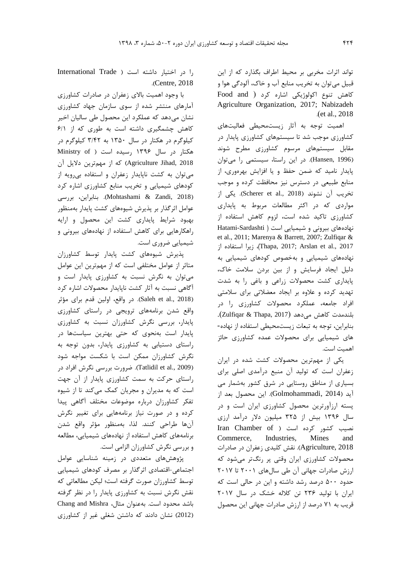تواند اثرات مخربی بر محیط اطراف بگذارد که از اين قبیل میتوان به تخريب منابع آب و خاک، آلودگی هوا و کاهش تنوع اکولوژيکی اشاره کرد ) and Food Agriculture Organization, 2017; Nabizadeh .)et al., 2018

اهمیت توجه به آثار زيستمحیطی فعالیتهاي کشاورزي موجب شد تا سیستمهاي کشاورزي پايدار در مقابل سیستمهاي مرسوم کشاورزي مطرح شوند )1996 ,Hansen). در اين راستا، سیستمی را میتوان پايدار نامید که ضمن حفظ و يا افزايش بهرهوري، از منابع طبیعی در دسترس نیز محافظت کرده و موجب تخريب آن نشوند (2018 .Scherer et al). يکی از مواردي که در اکثر مطالعات مربوط به پايداري کشاورزي تاکید شده است، لزوم کاهش استفاده از نهادههاي بیرونی و شیمیايی است ) Sardashti-Hatami et al., 2011; Marenya & Barrett, 2007; Zulfiqar & از استفاده زیرا ،(Thapa, 2017; Arslan et al., 2017 نهادههاي شیمیايی و بهخصوص کودهاي شیمیايی به دلیل ايجاد فرسايش و از بین بردن سالمت خاک، پايداري کشت محصوالت زراعی و باغی را به شدت تهديد کرده و عالوه بر ايجاد معضالتی براي سالمتی افراد جامعه، عملکرد محصوالت کشاورزي را در بلندمدت کاهش میدهد )2017 ,Thapa & Zulfiqar). بنابراين، توجه به تبعات زيستمحیطی استفاده از نهاده- هاي شیمیايی براي محصوالت عمده کشاورزي حائز اهمیت است.

يکی از مهمترين محصوالت کشت شده در ايران زعفران است که تولید آن منبع درآمدي اصلی براي بسیاري از مناطق روستايی در شرق کشور بهشمار می آيد )2014 ,Golmohammadi). اين محصول بعد از پسته ارزآورترين محصول کشاورزي ايران است و در سال 1396 بیش از 325 میلیون دالر درآمد ارزي نصیب کشور کرده است ) of Chamber Iran Commerce, Industries, Mines and 2018 ,Agriculture). نقش کلیدي زعفران در صادرات محصوالت کشاورزي ايران وقتی پر رنگتر میشود که ارزش صادرات جهانی آن طی سالهاي 2001 تا 2017 حدود 500 درصد رشد داشته و اين در حالی است که ايران با تولید 236 تن کالله خشک در سال 2017 قريب به 71 درصد از ارزش صادرات جهانی اين محصول

را در اختیار داشته است ) Trade International .)Centre, 2018

با وجود اهمیت باالي زعفران در صادرات کشاورزي آمارهاي منتشر شده از سوي سازمان جهاد کشاورزي نشان میدهد که عملکرد اين محصول طی سالیان اخیر کاهش چشمگیري داشته است به طوري که از 6/1 کیلوگرم در هکتار در سال 1350 به 3/42 کیلوگرم در هکتار در سال ۱۳۹۶ رسیده است ( Ministry of 2018 ,Jihad Agriculture )که از مهمترين داليل آن میتوان به کشت ناپايدار زعفران و استفاده بیرويه از کودهاي شیمیايی و تخريب منابع کشاورزي اشاره کرد )2018 ,Zandi & Mohtashami). بنابراين، بررسی عوامل اثرگذار بر پذيرش شیوههاي کشت پايدار بهمنظور بهبود شرايط پايداري کشت اين محصول و ارايه راهکارهايی براي کاهش استفاده از نهادههاي بیرونی و شیمیايی ضروري است.

پذيرش شیوههاي کشت پايدار توسط کشاورزان متاثر از عوامل مختلفی است که از مهمترين اين عوامل میتوان به نگرش نسبت به کشاورزي پايدار است و آگاهی نسبت به آثار کشت ناپايدار محصوالت اشاره کرد )2018 .,al et Saleh). در واقع، اولین قدم براي مؤثر واقع شدن برنامههاي ترويجی در راستاي کشاورزي پايدار، بررسی نگرش کشاورزان نسبت به کشاورزي پايدار است بهنحوي که حتی بهترين سیاستها در راستاي دستیابی به کشاورزي پايدار، بدون توجه به نگرش کشاورزان ممکن است با شکست مواجه شود )2009 .,al et Tatlidil). ضرورت بررسی نگرش افراد در راستاي حرکت به سمت کشاورزي پايدار از آن جهت است که به مديران و مجريان کمک میکند تا از شیوه تفکر کشاورزان درباره موضوعات مختلف آگاهی پیدا کرده و در صورت نیاز برنامههايی براي تغییر نگرش آنها طراحی کنند. لذا، بهمنظور مؤثر واقع شدن برنامههاي کاهش استفاده از نهادههاي شیمیايی، مطالعه و بررسی نگرش کشاورزان الزامی است.

پژوهشهاي متعددي در زمینه شناسايی عوامل اجتماعی-اقتصادي اثرگذار بر مصرف کودهاي شیمیايی توسط کشاورزان صورت گرفته است؛ لیکن مطالعاتی که نقش نگرش نسبت به کشاورزي پايدار را در نظر گرفته باشد محدود است. بهعنوان مثال، Mishra and Chang )2012( نشان دادند که داشتن شغلی غیر از کشاورزي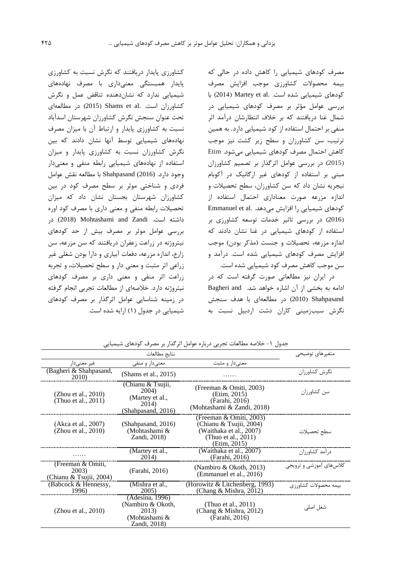مصرف کودهاي شیمیايی را کاهش داده در حالی که بیمه محصوالت کشاورزي موجب افزايش مصرف کودهای شیمیایی شده است. Martey et al. با بررسی عوامل مؤثر بر مصرف کودهاي شیمیايی در شمال غنا دريافتند که بر خالف انتظارشان درآمد اثر منفی بر احتمال استفاده از کود شیمیايی دارد. به همین ترتیب، سن کشاورزان و سطح زير کشت نیز موجب کاهش احتمال مصرف کودهاي شیمیايی میشود. Etim )2015( در بررسی عوامل اثرگذار بر تصمیم کشاورزان مبنی بر استفاده از کودهاي غیر ارگانیک در آکوبام نیجريه نشان داد که سن کشاورزان، سطح تحصیالت و اندازه مزرعه صورت معناداري احتمال استفاده از کودهای شیمیایی را افزايش میدهد. .Emmanuel et al )2016( در بررسی تاثیر خدمات توسعه کشاورزي بر استفاده از کودهاي شیمیايی در غنا نشان دادند که اندازه مزرعه، تحصیلات و جنست (مذکر بودن) موجب افزايش مصرف کودهاي شیمیايی شده است. درآمد و سن موجب کاهش مصرف کود شیمیايی شده است.

در ايران نیز مطالعاتی صورت گرفته است که در ادامه به بخشی از آن اشاره خواهد شد. Bagheri and Shahpasand( 2010 )در مطالعهاي با هدف سنجش نگرش سیبزمینی کاران دشت اردبیل نسبت به

کشاورزي پايدار دريافتند که نگرش نسبت به کشاورزي پايدار همبستگی معنیداري با مصرف نهادههاي شیمیايی ندارد که نشاندهنده تناقض عمل و نگرش کشاورزان است. .Shams et al (2015) در مطالعهاي تحت عنوان سنجش نگرش کشاورزان شهرستان اسدآباد نسبت به کشاورزي پايدار و ارتباط آن با میزان مصرف نهادههاي شیمیايی توسط آنها نشان دادند که بین نگرش کشاورزان نسبت به کشاورزي پايدار و میزان استفاده از نهادههاي شیمیايی رابطه منفی و معنیدار وجود دارد. (2016) Shahpasand با مطالعه نقش عوامل فردي و شناختی موثر بر سطح مصرف کود در بین کشاورزان شهرستان بجستان نشان داد که میزان تحصیالت رابطه منفی و معنی داري با مصرف کود اوره داشته است. Zandi and Mohtashami) 2018 (در بررسی عوامل موثر بر مصرف بیش از حد کودهاي نیتروژنه در زراعت زعفران دريافتند که سن مزرعه، سن زارع، اندازه مزرعه، دفعات آبیاري و دارا بودن شغلی غیر زراعی اثر مثبت و معنی دار و سطح تحصیالت، و تجربه زراعت اثر منفی و معنی داري بر مصرف کودهاي نیتروژنه دارد. خالصهاي از مطالعات تجربی انجام گرفته در زمینه شناسايی عوامل اثرگذار بر مصرف کودهاي شیمیايی در جدول )1( ارايه شده است.

|                                                       | نتايج مطالعات                                                                  |                                                                                                                      | متغيرهاي توضيحي          |
|-------------------------------------------------------|--------------------------------------------------------------------------------|----------------------------------------------------------------------------------------------------------------------|--------------------------|
| غیر معنے دار                                          | معنے دار و منفی                                                                | معنے دار و مثبت                                                                                                      |                          |
| (Bagheri & Shahpasand,<br>2010)                       | (Shams et al., $2015$ )                                                        | .                                                                                                                    | نگرش کشاورزان            |
| (Zhou et al., $2010$ )<br>(Thuo et al., 2011)         | (Chianu & Tsujii,<br>2004)<br>(Martey et al.,<br>2014)<br>(Shahpasand, 2016)   | (Freeman & Omiti, 2003)<br>(Etim, 2015)<br>(Farahi, 2016)<br>(Mohtashami & Zandi, 2018)                              | سن کشاورزان              |
| (Akca et al., 2007)<br>(Zhou et al., $2010$ )         | (Shahpasand, 2016)<br>(Mohtashami &<br>Zandi, 2018)                            | (Freeman & Omiti, 2003)<br>(Chianu & Tsujii, 2004)<br>(Waithaka et al., 2007)<br>(Thuo et al., 2011)<br>(Etim, 2015) | سطح تحصيلات              |
|                                                       | (Martey et al.,<br>2014)                                                       | (Waithaka et al., 2007)<br>(Farahi, 2016)                                                                            | درآمد کشاورزان           |
| (Freeman & Omiti,<br>2003)<br>(Chianu & Tsujii, 2004) | (Farahi, 2016)                                                                 | (Nambiro $& Okoth, 2013$ )<br>(Emmanuel et al., 2016)                                                                | کلاس های آموزشی و ترویجی |
| (Babcock & Hennessy,<br>1996)                         | (Mishra et al.,<br>2005)                                                       | (Horowitz & Litchenberg, 1993)<br>(Chang & Mishra, 2012)                                                             | بیمه محصولات کشاورزی     |
| (Zhou et al., $2010$ )                                | (Adesina, 1996)<br>(Nambiro & Okoth,<br>2013)<br>(Mohtashami &<br>Zandi, 2018) | (Thuo et al., $2011$ )<br>(Chang & Mishra, 2012)<br>(Farahi, 2016)                                                   | شغل اصلی                 |

جدول -1 خالصه مطالعات تجربی درباره عوامل اثرگذار بر مصرف کودهاي شیمیايی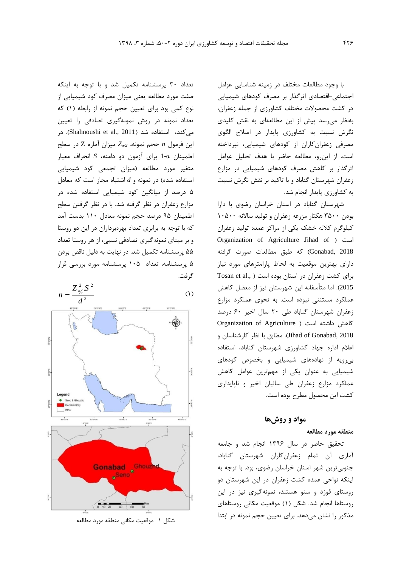با وجود مطالعات مختلف در زمینه شناسايی عوامل اجتماعی-اقتصادي اثرگذار بر مصرف کودهاي شیمیايی در کشت محصوالت مختلف کشاورزي از جمله زعفران، بهنظر میرسد پیش از اين مطالعهاي به نقش کلیدي نگرش نسبت به کشاورزي پايدار در اصالح الگوي مصرفی زعفرانکاران از کودهاي شیمیايی، نپرداخته است. از اينرو، مطالعه حاضر با هدف تحلیل عوامل اثرگذار بر کاهش مصرف کودهاي شیمیايی در مزارع زعفران شهرستان گناباد و با تاکید بر نقش نگرش نسبت به کشاورزي پايدار انجام شد.

شهرستان گناباد در استان خراسان رضوي با دارا بودن 3500 هکتار مزرعه زعفران و تولید ساالنه 10500 کیلوگرم کالله خشک يکی از مراکز عمده تولید زعفران Organization of Agriculture Jihad of ( است 2018 ,Gonabad )که طبق مطالعات صورت گرفته داراي بهترين موقعیت به لحاظ پارامترهاي مورد نیاز برای کشت زعفران در استان بوده است ( Tosan et al., 2015(. اما متأسفانه اين شهرستان نیز از معضل کاهش عملکرد مستثنی نبوده است. به نحوي عملکرد مزارع زعفران شهرستان گناباد طی 20 سال اخیر 60 درصد کاهش داشته است ) Agriculture of Organization 2018 ,Gonabad of Jihad). مطابق با نظر کارشناسان و اعالم اداره جهاد کشاورزي شهرستان گناباد، استفاده بیرويه از نهادههاي شیمیايی و بخصوص کودهاي شیمیايی به عنوان يکی از مهمترين عوامل کاهش عملکرد مزارع زعفران طی سالیان اخیر و ناپايداري کشت اين محصول مطرح بوده است.

## **مواد و روشها**

## **منطقه مورد مطالعه**

تحقیق حاضر در سال 1396 انجام شد و جامعه آماري آن تمام زعفرانکاران شهرستان گناباد، جنوبیترين شهر استان خراسان رضوي، بود. با توجه به اينکه نواحی عمده کشت زعفران در اين شهرستان دو روستاي قوژد و سنو هستند، نمونهگیري نیز در اين روستاها انجام شد. شکل )1( موقعیت مکانی روستاهاي مذکور را نشان میدهد. براي تعیین حجم نمونه در ابتدا

تعداد 30 پرسشنامه تکمیل شد و با توجه به اينکه صفت مورد مطالعه يعنی میزان مصرف کود شیمیايی از نوع کمی بود برای تعیین حجم نمونه از رابطه (۱) که تعداد نمونه در روش نمونهگیري تصادفی را تعیین میکند، استفاده شد (Shahnoushi et al., 2011). در اين فرمول *n* حجم نمونه، */2Z<sup>α</sup>* میزان آماره Z در سطح اطمینان α1- براي آزمون دو دامنه، *S* انحراف معیار متغیر مورد مطالعه )میزان تجمعی کود شیمیايی استفاده شده) در نمونه و d اشتباه مجاز است که معادل 5 درصد از میانگین کود شیمیايی استفاده شده در مزارع زعفران در نظر گرفته شد. با در نظر گرفتن سطح اطمینان 95 درصد حجم نمونه معادل 110 بدست آمد که با توجه به برابري تعداد بهرهبرداران در اين دو روستا و بر مبناي نمونهگیري تصادفی نسبی، از هر روستا تعداد 55 پرسشنامه تکمیل شد. در نهايت به دلیل ناقص بودن 5 پرسشنامه، تعداد 105 پرسشنامه مورد بررسی قرار گرفت.



شکل ۱- موقعیت مکانی منطقه مورد مطالعه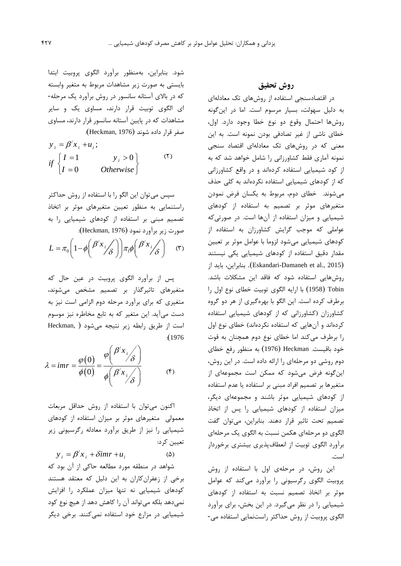شود. بنابراين، بهمنظور برآورد الگوي پروبیت ابتدا بايستی به صورت زير مشاهدات مربوط به متغیر وابسته که در باالي آستانه سانسور در روش برآورد يک مرحله- اي الگوي توبیت قرار دارند، مساوي يک و ساير مشاهدات که در پايین آستانه سانسور قرار دارند، مساوي صفر قرار داده شوند )1976 ,Heckman):

$$
y_i = \beta' x_i + u_i;
$$
  
if 
$$
\begin{cases} I = 1 & y_i > 0 \\ I = 0 & Otherwise \end{cases}
$$
 (7)

سپس میتوان اين الگو را با استفاده از روش حداکثر راستنمايی به منظور تعیین متغیرهاي موثر بر اتخاذ تصمیم مبنی بر استفاده از کودهاي شیمیايی را به صورت زير برآورد نمود )1976 ,Heckman):  $(1)$  $\mathcal{L}_x$  (  $\mathcal{L}$ )  $L = \pi_0 \left( 1 - \phi \left( \frac{\beta' x_i}{\delta} \right) \right) \pi_1 \phi \left( \frac{\beta' x_i}{\delta} \right)$ - سورت زیر براورد نمود (Heckman, 1976):<br>=  $\pi_0\left(1\!-\!\phi\!\left(\frac{\beta' x_j}{\delta}\right)\right)\!\pi_{\mathrm{i}}\phi\!\left(\frac{\beta' x_j}{\delta}\right)$  (۳

پس از برآورد الگوي پروبیت در عین حال که متغیرهاي تاثیرگذار بر تصمیم مشخص میشوند، متغیري که براي برآورد مرحله دوم الزامی است نیز به دست میآيد. اين متغیر که به تابع مخاطره نیز موسوم است از طريق رابطه زير نتیجه میشود ) ,Heckman :)<sup>1976</sup>

$$
\lambda = imr = \frac{\varphi(0)}{\phi(0)} = \frac{\varphi\left(\frac{\beta' x_i}{\delta}\right)}{\phi\left(\frac{\beta' x_i}{\delta}\right)}
$$
(f)

اکنون میتوان با استفاده از روش حداقل مربعات معمولی متغیرهاي موثر بر میزان استفاده از کودهاي شیمیايی را نیز از طريق برآورد معادله رگرسیونی زير تعیین کرد:

 $(\Delta)$  $y_i = \beta' x_i + \delta imr + u_i$ 

شواهد در منطقه مورد مطالعه حاکی از آن بود که برخی از زعفرانکاران به اين دلیل که معتقد هستند کودهاي شیمیايی نه تنها میزان عملکرد را افزايش نمیدهد بلکه میتواند آن را کاهش دهد از هیچ نوع کود شیمیايی در مزارع خود استفاده نمیکنند. برخی ديگر **روش تحقیق**

در اقتصادسنجی استفاده از روشهاي تک معادلهاي به دلیل سهولت، بسیار مرسوم است. اما در اينگونه روشها احتمال وقوع دو نوع خطا وجود دارد. اول، خطاي ناشی از غیر تصادفی بودن نمونه است. به اين معنی که در روشهاي تک معادلهاي اقتصاد سنجی نمونه آماري فقط کشاورزانی را شامل خواهد شد که به از کود شیمیايی استفاده کردهاند و در واقع کشاورزانی که از کودهاي شیمیايی استفاده نکردهاند به کلی حذف میشوند. خطاي دوم، مربوط به يکسان فرض نمودن متغیرهاي موثر بر تصمیم به استفاده از کودهاي شیمیايی و میزان استفاده از آنها است. در صورتیکه عواملی که موجب گرايش کشاورزان به استفاده از کودهاي شیمیايی میشود لزوما با عوامل موثر بر تعیین مقدار دقیق استفاده از کودهاي شیمیايی يکی نیستند از بايد ،بنابراين .(Eskandari-Damaneh et al., 2015( روشهايی استفاده شود که فاقد اين مشکالت باشد. Tobin( <sup>1958</sup> )با ارايه الگوي توبیت خطاي نوع اول را برطرف کرده است. اين الگو با بهرهگیري از هر دو گروه کشاورزان (کشاورزانی که از کودهای شیمیایی استفاده کردهاند و آنهايی که استفاده نکردهاند) خطای نوع اول را برطرف میکند اما خطاي نوع دوم همچنان به قوت خود باقیست. Heckman( <sup>1976</sup> )به منظور رفع خطاي دوم روشی دو مرحلهاي را ارائه داده است. در اين روش، اينگونه فرض میشود که ممکن است مجموعهاي از متغیرها بر تصمیم افراد مبنی بر استفاده يا عدم استفاده از کودهاي شیمیايی موثر باشند و مجموعهاي ديگر، میزان استفاده از کودهاي شیمیايی را پس از اتخاذ تصمیم تحت تاثیر قرار دهند. بنابراين، میتوان گفت الگوي دو مرحلهاي هکمن نسبت به الگوي يک مرحلهاي برآورد الگوي توبیت از انعطافپذيري بیشتري برخوردار است.

اين روش، در مرحلهي اول با استفاده از روش پروبیت الگوي رگرسیونی را برآورد میکند که عوامل موثر بر اتخاذ تصمیم نسبت به استفاده از کودهاي شیمیايی را در نظر میگیرد. در اين بخش، براي برآورد الگوي پروبیت از روش حداکثر راستنمايی استفاده می-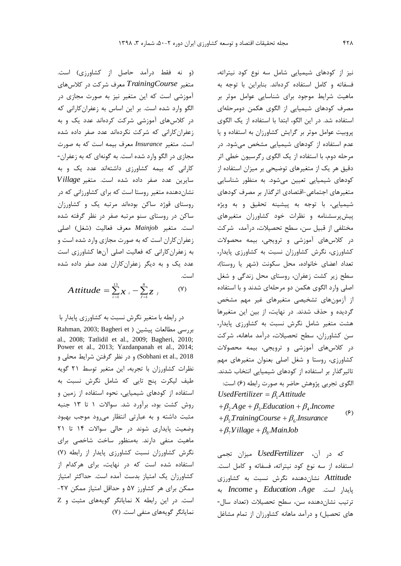)و نه فقط درآمد حاصل از کشاورزي( است. معرف شرکت در کالسهاي *TrainingCourse* متغیر آموزشی است که اين متغیر نیز به صورت مجازي در الگو وارد شده است. بر اين اساس به زعفرانکارانی که در کالسهاي آموزشی شرکت کردهاند عدد يک و به زعفرانکارانی که شرکت نکردهاند عدد صفر داده شده است. متغیر *Insurance* معرف بیمه است که به صورت مجازي در الگو وارد شده است. به گونهاي که به زعفران- کارانی که بیمه کشاورزي داشتهاند عدد يک و به *Village* سايرين عدد صفر داده شده است. متغیر نشاندهنده متغیر روستا است که براي کشاورزانی که در روستاي قوژد ساکن بودهاند مرتبه يک و کشاورزان ساکن در روستاي سنو مرتبه صفر در نظر گرفته شده است. متغیر *Mainjob* معرف فعالیت )شغل( اصلی زعفرانکاران است که به صورت مجازي وارد شده است و به زعفرانکارانی که فعالیت اصلی آنها کشاورزي است عدد يک و به ديگر زعفرانکاران عدد صفر داده شده است.

$$
A \text{ } t \text{ } t \text{ } i \text{ } d \text{ } e \text{ } = \sum_{i=1}^{13} \chi_{i} - \sum_{j=1}^{8} \chi_{j} \qquad \text{ } (\forall)
$$

در رابطه با متغیر نگرش نسبت به کشاورزي پايدار با

بررسی مطالعات پیشین ( Rahman, 2003; Bagheri et al., 2008; Tatlidil et al., 2009; Bagheri, 2010; Power et al., 2013; Yazdanpanah et al., 2014; 2018 .,al et Sobhani )و در نظر گرفتن شرايط محلی و نظرات کشاورزان با تجربه، اين متغیر توسط 21 گويه طیف لیکرت پنج تايی که شامل نگرش نسبت به استفاده از کودهاي شیمیايی، نحوه استفاده از زمین و روش کشت بود، برآورد شد. سواالت 1 تا 13 جنبه مثبت داشته و به عبارتی انتظار میرود موجب بهبود وضعیت پايداري شوند در حالی سواالت 14 تا 21 ماهیت منفی دارند. بهمنظور ساخت شاخصی براي نگرش کشاورزان نسبت کشاورزي پايدار از رابطه )7( استفاده شده است که در نهايت، براي هرکدام از کشاورزان يک امتیاز بدست آمده است. حداکثر امتیاز ممکن براي هر کشاورز 57 و حداقل امتیاز ممکن -27 است. در اين رابطه X نمايانگر گويههاي مثبت و Z نمايانگر گويههاي منفی است. )7( نیز از کودهاي شیمیايی شامل سه نوع کود نیتراته، فسفاته و کامل استفاده کردهاند. بنابراين با توجه به ماهیت شرايط موجود براي شناسايی عوامل موثر بر مصرف کودهاي شیمیايی از الگوي هکمن دومرحلهاي استفاده شد. در اين الگو، ابتدا با استفاده از يک الگوي پروبیت عوامل موثر بر گرايش کشاورزان به استفاده و يا عدم استفاده از کودهاي شیمیايی مشخص میشود. در مرحله دوم، با استفاده از يک الگوي رگرسیون خطی اثر دقیق هر يک از متغیرهاي توضیحی بر میزان استفاده از کودهاي شیمیايی تعیین میشود. به منظور شناسايی متغیرهاي اجتماعی-اقتصادي اثرگذار بر مصرف کودهاي شیمیايی، با توجه به پیشینه تحقیق و به ويژه پیشپرسشنامه و نظرات خود کشاورزان متغیرهاي مختلفی از قبیل سن، سطح تحصیالت، درآمد، شرکت در کالسهاي آموزشی و ترويجی، بیمه محصوالت کشاورزي، نگرش کشاورزان نسبت به کشاورزي پايدار، تعداد اعضاي خانواده، محل سكونت (شهر يا روستا)، سطح زير کشت زعفران، روستاي محل زندگی و شغل اصلی وارد الگوي هکمن دو مرحلهاي شدند و با استفاده از آزمونهاي تشخیصی متغیرهاي غیر مهم مشخص گرديده و حذف شدند. در نهايت، از بین اين متغیرها هشت متغیر شامل نگرش نسبت به کشاورزي پايدار، سن کشاورزان، سطح تحصیالت، درآمد ماهانه، شرکت در کالسهاي آموزشی و ترويجی، بیمه محصوالت کشاورزي، روستا و شغل اصلی بعنوان متغیرهاي مهم تاثیرگذار بر استفاده از کودهاي شیمیايی انتخاب شدند. الگوي تجربي پژوهش حاضر به صورت رابطه (۶) است:  $(5)$ ں حاضر به صورت رابطه (۶) است:<br>UsedFertilizer =  $\beta_1 A$ ttitude UsedFertilizer =  $\beta_1$ Attitude<br>+ $\beta_2$ Age +  $\beta_3$ .Education +  $\beta_4$ .Income  $+\beta_2 A g e + \beta_3$ .*Education* +  $\beta_4$ .Incorrelation +  $\beta_5$ *TrainingCourse* +  $\beta_6$ .Insurance  $+\beta_5$ TrainingCourse +  $\beta_6$ .<br>+  $\beta_7$ Village +  $\beta_8$ .MainJob

میزان تجمی *UsedFertilizer* که در آن، استفاده از سه نوع کود نیتراته، فسفاته و کامل است. نشاندهنده نگرش نسبت به کشاورزي *Attitude* به *Income* و *Education* ، *Age* پايدار است. ترتیب نشاندهنده سن، سطح تحصیالت )تعداد سال- های تحصیل) و درآمد ماهانه کشاورزان از تمام مشاغل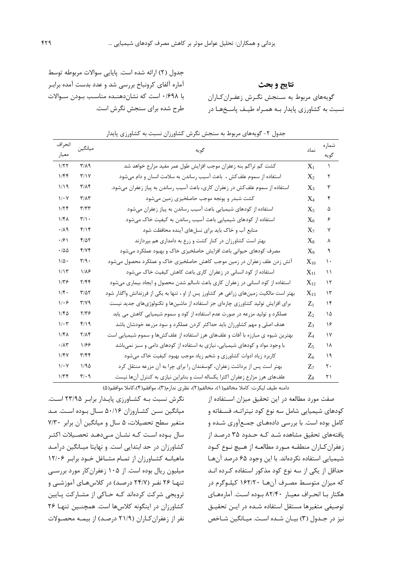جدول )2( ارائه شده است. پايايی سواالت مربوطه توسط آماره آلفاي کرونباخ بررسی شد و عدد بدست آمده برابنر با 0/698 است که نشاندهننده مناسنب بنودن سنواالت طرح شده براي سنجش نگرش است.

**نتایج و بحث** گويههاي مربوط به سـنجش نگـرش زعفـرانکـاران نسبت به کشاورزي پايدار بنه همنراه طینف پاسن هنا در

| انحراف                          | ميانگين                       |                                                                                       |                                     | شماره          |
|---------------------------------|-------------------------------|---------------------------------------------------------------------------------------|-------------------------------------|----------------|
| معيار                           |                               | گويه                                                                                  | نماد                                | گويه           |
| 1/57                            | $\Gamma/\Lambda$ 9            | کشت کم تراکم بنه زعفران موجب افزایش طول عمر مفید مزارع خواهد شد                       | $X_1$                               | $\lambda$      |
| 1/Ff                            | T/Y                           | استفاده از سموم علف کش ،  باعث آسیب رساندن به سلامت انسان و دام میشود                 | $X_2$                               | ٢              |
| $1/19$                          | $\mathbf{r}/\mathbf{v}$       | استفاده از سموم علف کش در زعفران کاری، باعث آسیب رساندن به پیاز زعفران میشود.         | $X_3$                               | ٣              |
| $1/\cdot Y$                     | $\mathbf{r}/\mathbf{r}$       | کشت شبدر و یونجه موجب حاصلخیزی زمین میشود                                             | $X_4$                               | ۴              |
| 1/Tf                            | T/TT                          | استفاده از کودهای شیمیایی باعث آسیب رساندن به پیاز زعفران میشود                       | $X_5$                               | ۵              |
| $1/f\Lambda$                    | $\mathbf{r}/\mathbf{v}$ .     | استفاده از کودهای شیمیایی باعث آسیب رساندن به کیفیت خاک میشود                         | $X_6$                               | ۶              |
| $\cdot/\lambda$ 9               | $f/\gamma$                    | منابع آب و خاک باید برای نسلهای آینده محافظت شود                                      | $X_7$                               | ٧              |
| $\cdot$ /۶ \                    | $F/\Delta Y$                  | بهتر است کشاورزان در کنار کشت و زرع به دامداری هم بپردازند                            | $X_8$                               | ٨              |
| $\cdot$ /00                     | f/Yf                          | مصرف کودهای حیوانی باعث افزایش حاصلخیزی خاک و بهبود عملکرد میشود                      | $X_9$                               | ٩              |
| $\backslash/\triangle$ .        | $\mathbf{r}/\mathbf{q}$ .     | آتش زدن علف زعفران در زمین موجب کاهش حاصلخیزی خاک و عملکرد محصول میشود                | $X_{10}$                            | ١.             |
| 1/15                            | $1/\lambda$ ۶                 | استفاده از کود انسانی در زعفران کاری باعث کاهش کیفیت خاک میشود                        | $X_{11}$                            | ۱۱             |
| $1/\tau$ ۶                      | Y/Ff                          | استفاده از کود انسانی در زعفران کاری باعث ناسالم شدن محصول و ایجاد بیماری میشود       | $X_{12}$                            | $\lambda \tau$ |
| 1/f.                            | $T/\Delta T$                  | بهتر است مالکیت زمینهای زراعی هر کشاورز پس از او ، تنها به یکی از فرزندانش واگذار شود | $X_{13}$                            | $\gamma$       |
| $1/\cdot 5$                     | $\mathbf{r}/\mathbf{v}$       | برای افزایش تولید کشاورزی چارهای جز استفاده از ماشینها و تکنولوژیهای جدید نیست        | $Z_1$                               | $\lambda$      |
| 1/FQ                            | $Y/Y$ ۶                       | عملکرد و تولید مزرعه در صورت عدم استفاده از کود و سموم شیمیایی کاهش می یابد           | $Z_2$                               | ۱۵             |
| $\mathcal{N} \cdot \mathcal{r}$ | $f/\gamma$                    | هدف اصلی و مهم کشاورزان باید حداکثر کردن عملکرد و سود مزرعه خودشان باشد               | $Z_3$                               | ۱۶             |
| $1/f\Lambda$                    | $Y/\Lambda f$                 | بهترین شیوه ی مبارزه با آفات و علفهای هرز استفاده از علفکش۵ها و سموم شیمیایی است      | $Z_{\scriptscriptstyle\mathcal{A}}$ | $\gamma$       |
| $\cdot$ /<br>$\wedge\tau$       | 1188                          | با وجود مواد و کودهای شیمیایی، نیازی به استفاده از کودهای دامی و سبز نمیباشد          | Z٢                                  | ۱۸             |
| 1/FV                            | T/FF                          | کاربرد زیاد ادوات کشاورزی و شخم زیاد موجب بهبود کیفیت خاک میشود                       | Z.                                  | ۱۹             |
| $1/\cdot Y$                     | 1/90                          | بهتر است پس از برداشت زعفران، گوسفندان را برای چرا به آن مزرعه منتقل کرد              | $Z_{7}$                             | ٢٠             |
| 1/Tf                            | $\mathbf{r}/\cdot \mathbf{q}$ | علفهای هرز مزارع زعفران اکثرا یکساله است و بنابراین نیازی به کنترل آنها نیست          | $Z_8$                               | ۲۱             |

جدول ۲- گويههاي مربوط به سنجش نگرش كشاورزان نسبت به كشاورزي پايدار

دامنه طیف لیکرت: کاملا مخالفم(۱)، مخالفم(۲)، نظری ندارم(۳)، موافقم(۹)،کاملا موافقم(۵)

صفت مورد مطالعه در اين تحقیق میزان اسنتفاده از کودهاي شیمیايی شامل سه نوع کود نیتراتنه، فسنفاته و کامل بوده است. با بررسی دادههناي جمنعآوري شنده و يافتههاي تحقیق مشاهده شند کنه حندود 35 درصند از زعفرانکناران منطقنه منورد مطالعنه از هنیچ ننوع کنود شیمیايی استفاده نکردهاند. با اين وجود 65 درصد آنهنا حداقل از يکی از سه نوع کود مذکور استفاده کنرده انند که میزان متوسنط مصنرف آنهنا 162/20 کیلنوگرم در هکتار بنا انحنراف معینار 82/40 بنوده اسنت. آمارههناي توصیفی متغیرها مستقل استفاده شنده در اينن تحقینق نیز در جـدول (۳) بیـان شـده اسـت. میـانگین شـاخص

نگرش نسبت بنه کشناورزي پايندار برابنر 23/95 اسنت. میانگین سنن کشناروزان 50/16 سنال بنوده اسنت. مند متغیر سطح تحصیالت، 5 سال و میانگین آن برابر 7/30 سال بوده است کـه نشـان مـیدهـد تحصـیلات اکثـر کشاورزان در حد ابتدايی است. و نهايتا مینانگین درآمند ماهیاننه کشناورزان از تمنام مشناغل خنود برابنر 12/06 میلیون ريال بوده است. از 105 زعفرانکار مورد بررسنی تنهـا ۲۶ نفـر (۲۴/۷ درصـد) در کلاسهـاي آموزشـي و ترويجی شرکت کردهاند کنه حناکی از مشنارکت پنايین کشاورزان در اينگونه کالسها است. همچننین تنهنا 26 نفر از زعفران کاران (۲۱/۹ درصد) از بیمـه محصـولات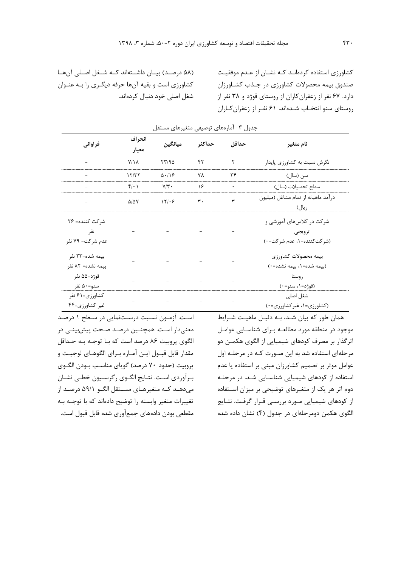)58 درصنند( بیننان داشننتهاند کننه شننغل اصننلی آنهننا کشاورزي است و بقیه آنها حرفه ديگنري را بنه عننوان شغل اصلی خود دنبال کردهاند. کشاورزي استفاده کردهانند کنه نشنان از عندم موفقینت صندوق بیمه محصوالت کشاورزي در جنذب کشناورزان دارد. 67 نفر از زعفرانکاران از روستاي قوژد و 38 نفر از روستاي سنو انتخناب شندهاند. 61 نفنر از زعفرانکناران

| فراواني                  | انحراف            | ميانگين       |                | حداقل     | نام متغير                           |  |
|--------------------------|-------------------|---------------|----------------|-----------|-------------------------------------|--|
|                          | معيار             |               | حداكثر         |           |                                     |  |
|                          | $Y/\Lambda$       | 57/90         | ۴۲             | ۲         | نگرش نسبت به کشاورزی پایدار         |  |
|                          | 15/T              | $\Delta$ ./18 | ٧٨             | ۲۴        | سن (سال)                            |  |
|                          | $f(\cdot)$        | $Y/\tau$ .    | ۱۶             | $\bullet$ | سطح تحصيلات (سال)                   |  |
|                          | $\Delta/\Delta V$ | 17/29         | $\mathbf{r}$ . | ٣         | درآمد ماهيانه از تمام مشاغل (ميليون |  |
| $\overline{\phantom{a}}$ |                   |               |                | ريال)     |                                     |  |
| شر کت کننده= ۲۶          |                   |               |                |           | شر کت در کلاسهای آموزشی و           |  |
| نفر                      |                   |               |                |           | ترويجي                              |  |
| عدم شركت= ٧٩ نفر         |                   |               |                |           | (شركتكننده=۱، عدم شركت=۰)           |  |
| بيمه شده=٢٣ نفر          |                   |               |                |           | بيمه محصولات كشاورزى                |  |
| بيمه نشده= ٨٢ نفر        |                   |               |                |           | (بیمه شده=۱، بیمه نشده=۰)           |  |
| قوژد=۵۵ نفر              |                   |               |                |           | روستا                               |  |
| سنو=۵۰ نفر               |                   |               |                |           | (قوژد=۱، سنو=۰)                     |  |
| کشاورزی=۶۱ نفر           |                   |               |                |           | شغل اصلی                            |  |
| غیر کشاورزی=۴۴           |                   |               |                |           | (کشاورزی=۱، غیر کشاورزی=۰)          |  |

جدول ٣- آمارههاي توصيفي متغيرهاي مستقل

اسنت. آزمنون نسنبت درسنتنمايی در سنطح 1 درصند معنیدار اسنت. همچننین درصند صنحت پیشبیننی در الگوي پروبیت 86 درصد است که بنا توجنه بنه حنداقل مقدار قابل قبـول ايـن آمـاره بـراي الگوهـاي لوجيـت و پروبيت (حدود ٧٠ درصد) گوياي مناسب بـودن الگـوي بنرآوردي اسنت. نتنايج الگنوي رگرسنیون خطنی نشنان میدهند کنه متغیرهناي مسنتقل الگنو 59/1 درصند از تغییرات متغیر وابسته را توضیح دادهاند که با توجنه بنه مقطعی بودن دادههاي جمعآوري شده قابل قبول است.

همان طور که بیان شـد، بـه دلیـل ماهیـت شـرایط موجود در منطقه مورد مطالعنه بنراي شناسنايی عوامنل اثرگذار بر مصرف کودهاي شیمیايی از الگوي هکمنن دو مرحلهاي استفاده شد به اين صنورت کنه در مرحلنه اول عوامل موثر بر تصمیم کشاورزان مبنی بر استفاده يا عدم استفاده از کودهاي شیمیايی شناسنايی شند. در مرحلنه دوم اثر هر يک از متغیرهاي توضیحی بر میزان اسنتفاده از کودهاي شیمیايی منورد بررسنی قنرار گرفنت. نتنايج الگوي هکمن دومرحلهاي در جدول (۴) نشان داده شده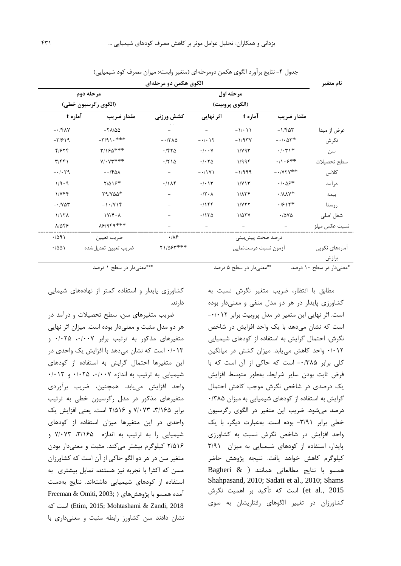|                              |                               | الگوی هکمن دو مرحلهای                  |                                    |                         |                                               | نام متغير               |
|------------------------------|-------------------------------|----------------------------------------|------------------------------------|-------------------------|-----------------------------------------------|-------------------------|
| مرحله دوم<br>مرحله اول       |                               |                                        |                                    |                         |                                               |                         |
| (الگوی رگرسیون خطی)          |                               |                                        |                                    |                         |                                               |                         |
| آماره t                      | مقدار ضريب                    | كشش ورزنى                              | اثر نهایی                          | آماره t                 | مقدار ضريب                                    |                         |
| $- \cdot$ /۴۸۷               | $-\tau \lambda/\Delta\Delta$  |                                        |                                    | $-1/211$                | $-1/\mathfrak{F}\Delta\mathfrak{r}$           | عرض از مبدا             |
| $-\mathbf{r}/\mathbf{r}$     | $-\7/91.***$                  | $- \cdot / \tau \lambda \Delta$        | $- \cdot \mid \cdot \mid \uparrow$ | $-1/97V$                | $-\cdot/\cdot\Delta \mathsf{r}^*$             | نگرش                    |
| 4/674                        | $7/190***$                    | .750                                   | $\cdot$ / $\cdot$ $\vee$           | $1/Y$ 95                | $\cdot/\cdot$ $\uparrow\uparrow$ \*           | سن                      |
| T/FF1                        | $Y/\cdot Y^{\ast\ast\ast}$    | $\cdot$ /۲ ۱ ۵                         | .1.70                              | 1/996                   | $\cdot/\right. \cdot$ $\cdot$ $\cdot$ $\cdot$ | سطح تحصيلات             |
| $-1.59$                      | $-140\lambda$                 |                                        | $-11Y$                             | $-1/999$                | $- \cdot / \gamma \gamma$ **                  | كلاس                    |
| 1/9.9                        | $Y/\Delta Y^*$                | .11A                                   | $\cdot/\cdot$ \ $\Upsilon$         | 1/Y15                   | $\cdot$ / $\cdot$ $\Delta$ ۶*                 | در آمد                  |
| $1/Y$ ۴۴                     | $Y9/Y\Delta\Delta^*$          |                                        | $\cdot$ /٢ $\cdot$                 | $1/\lambda T$           | $\cdot/\lambda\lambda\gamma^*$                | بيمه                    |
| $- \cdot 70$                 | $-1.7Y1f$                     |                                        | .795                               | 1/177                   | $.7911*$                                      | روستا                   |
| 1/17 <sub>A</sub>            | $1Y/\mathfrak{f}\cdot\lambda$ |                                        | .7170                              | $1/\Delta Y$            | .788                                          | شغل اصلي                |
| $\lambda/\Delta f$           | 18/949***                     |                                        |                                    |                         |                                               | نسبت عكس ميلز           |
| .7091                        | ضريب تعيين                    | $\cdot/\lambda$ ۶                      | درصد صحت پیشبینی                   |                         |                                               |                         |
| .7001<br>ضريب تعيين تعديلشده |                               | $Y1/\Delta \mathcal{F}^{\ast\ast\ast}$ |                                    | آزمون نسبت درستنمايي    |                                               | آمارەھاي نكويى          |
|                              |                               |                                        |                                    |                         |                                               | برازش                   |
|                              | ***معنىدار در سطح ۱ درصد      |                                        |                                    | **معنىدار در سطح ۵ درصد |                                               | *معنىدار در سطح ١٠ درصد |

جدول ۴- نتايج برآورد الگوي هکمن دومرحلهاي (متغیر وابسته: میزان مصرف کود شیمیایی)

مطابق با انتظار، ضريب متغیر نگرش نسبت به کشاورزي پايدار در هر دو مدل منفی و معنیدار بوده است. اثر نهايی اين متغیر در مدل پروبیت برابر -0/012 است که نشان میدهد با يک واحد افزايش در شاخص نگرش، احتمال گرايش به استفاده از کودهاي شیمیايی 0/012 واحد کاهش میيابد. میزان کشش در میانگین کلی برابر ۰/۳۸۵ - است که حاکی از آن است که با فرض ثابت بودن ساير شرايط، بهطور متوسط افزايش يک درصدي در شاخص نگرش موجب کاهش احتمال گرايش به استفاده از کودهاي شیمیايی به میزان 0/385 درصد میشود. ضريب اين متغیر در الگوي رگرسیون خطی برابر -3/91 بوده است. بهعبارت ديگر، با يک واحد افزايش در شاخص نگرش نسبت به کشاورزي پايدار، استفاده از کودهاي شیمیايی به میزان 3/91 کیلوگرم کاهش خواهد يافت. نتیجه پژوهش حاضر همسو با نتايج مطالعاتی همانند ) & Bagheri Shahpasand, 2010; Sadati et al., 2010; Shams 2015 .,al et )است که تأکید بر اهمیت نگرش کشاورزان در تغییر الگوهاي رفتاريشان به سوي

کشاورزي پايدار و استفاده کمتر از نهادههاي شیمايی دارند.

ضريب متغیرهاي سن، سطح تحصیالت و درآمد در هر دو مدل مثبت و معنیدار بوده است. میزان اثر نهايی متغیرهای مذکور به ترتیب برابر ۰/۰۰۷، ۰/۰۲۵ و 0/013 است که نشان میدهد با افزايش يک واحدي در اين متغیرها احتمال گرايش به استفاده از کودهاي شیمیايی به ترتیب به اندازه ،0/007 0/025 و 0/013 واحد افزايش میيابد. همچنین، ضريب برآوردي متغیرهاي مذکور در مدل رگرسیون خطی به ترتیب برابر ،3/165 7/073 و 2/516 است. يعنی افزايش يک واحدي در اين متغیرها میزان استفاده از کودهاي شیمیايی را به ترتیب به اندازه ،3/165 7/073 و 2/516 کیلوگرم بیشتر میکند. مثبت و معنیدار بودن متغیر سن در هر دو الگو حاکی از آن است که کشاورزان مسن که اکثرا با تجربه نیز هستند، تمايل بیشتري به استفاده از کودهاي شیمیايی داشتهاند. نتايج بهدست  $F$ Freeman & Omiti, 2003; ) أمده همسو با پژوهشهای که است( Etim, 2015; Mohtashami & Zandi, 2018 نشان دادند سن کشاورز رابطه مثبت و معنیداري با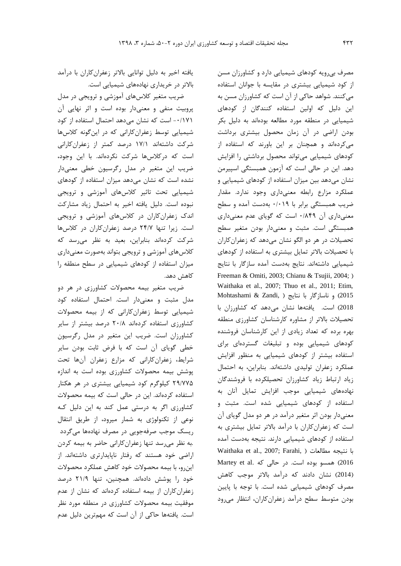مصرف بیرويه کودهاي شیمیايی دارد و کشاورزان مسن از کود شیمیايی بیشتري در مقايسه با جوانان استفاده میکنند. شواهد حاکی از آن است که کشاورزان مسن به اين دلیل که اولین استفاده کنندگان از کودهاي شیمیايی در منطقه مورد مطالعه بودهاند به دلیل بکر بودن اراضی در آن زمان محصول بیشتري برداشت میکردهاند و همچنان بر اين باورند که استفاده از کودهاي شیمیايی میتواند محصول برداشتی را افزايش دهد. اين در حالی است که آزمون همبستگی اسپیرمن نشان میدهد بین میزان استفاده از کودهاي شیمیايی و عملکرد مزارع رابطه معنیداري وجود ندارد. مقدار ضريب همبستگی برابر با 0/019 بهدست آمده و سطح معنیداري آن 0/849 است که گوياي عدم معنیداري همبستگی است. مثبت و معنیدار بودن متغیر سطح تحصیالت در هر دو الگو نشان میدهد که زعفرانکاران با تحصیالت باالتر تمايل بیشتري به استفاده از کودهاي شیمیايی داشتهاند. نتايج بهدست آمده سازگار با نتايج Freeman & Omiti, 2003; Chianu & Tsujii, 2004; ) Waithaka et al., 2007; Thuo et al., 2011; Etim, 2015( و ناسازگار با نتايج ) ,Zandi & Mohtashami 2018( است. يافتهها نشان میدهد که کشاورزان با تحصیالت باالتر از مشاوره کارشناسان کشاورزي منطقه بهره برده که تعداد زيادي از اين کارشناسان فروشنده کودهاي شیمیايی بوده و تبلیغات گستردهاي براي استفاده بیشتر از کودهاي شیمیايی به منظور افزايش عملکرد زعفران تولیدي داشتهاند. بنابراين، به احتمال زياد ارتباط زياد کشاورزان تحصیلکرده با فروشندگان نهادههاي شیمیايی موجب افزايش تمايل آنان به استفاده از کودهاي شیمیايی شده است. مثبت و معنیدار بودن اثر متغیر درآمد در هر دو مدل گوياي آن است که زعفرانکاران با درآمد باالتر تمايل بیشتري به استفاده از کودهاي شیمیايی دارند. نتیجه بهدست آمده Waithaka et al., 2007; Farahi, ( مطالعات نتیجه با 2016) همسو بوده است. در حالی که .Martey et al )2014( نشان دادند که درآمد باالتر موجب کاهش مصرف کودهاي شیمیايی شده است. با توجه با پايین بودن متوسط سطح درآمد زعفرانکاران، انتظار میرود

يافته اخیر به دلیل توانايی باالتر زعفرانکاران با درآمد باالتر در خريداري نهادههاي شیمیايی است.

ضريب متغیر کالسهاي آموزشی و ترويجی در مدل پروبیت منفی و معنیدار بوده است و اثر نهايی آن -0/171 است که نشان میدهد احتمال استفاده از کود شیمیايی توسط زعفرانکارانی که در اينگونه کالسها شرکت داشتهاند 17/1 درصد کمتر از زعفرانکارانی است که درکالسها شرکت نکردهاند. با اين وجود، ضريب اين متغیر در مدل رگرسیون خطی معنیدار نشده است که نشان میدهد میزان استفاده از کودهاي شیمیايی تحت تاثیر کالسهاي آموزشی و ترويجی نبوده است. دلیل يافته اخیر به احتمال زياد مشارکت اندک زعفرانکاران در کالسهاي آموزشی و ترويجی است. زيرا تنها 24/7 درصد زعفرانکاران در کالسها شرکت کردهاند بنابراين، بعید به نظر میرسد که کالسهاي آموزشی و ترويجی بتواند بهصورت معنیداري میزان استفاده از کودهاي شیمیايی در سطح منطقه را کاهش دهد.

ضريب متغیر بیمه محصوالت کشاورزي در هر دو مدل مثبت و معنیدار است. احتمال استفاده کود شیمیايی توسط زعفرانکارانی که از بیمه محصوالت کشاورزي استفاده کردهاند 20/8 درصد بیشتر از ساير کشاورزان است. ضريب اين متغیر در مدل رگرسیون خطی گوياي آن است که با فرض ثابت بودن ساير شرايط، زعفرانکارانی که مزارع زعفران آنها تحت پوشش بیمه محصوالت کشاورزي بوده است به اندازه 29/775 کیلوگرم کود شیمیايی بیشتري در هر هکتار استفاده کردهاند. اين در حالی است که بیمه محصوالت کشاورزي اگر به درستی عمل کند به اين دلیل کنه نوعی از تکنولوژي به شمار میرود، از طريق انتقال ريسک موجب صرفهجويی در مصرف نهادهها میگردد .به نظر میرسد تنها زعفرانکارانی حاضر به بیمه کردن اراضی خود هستند که رفتار ناپايدارتري داشتهاند. از اينرو، با بیمه محصوالت خود کاهش عملکرد محصوالت خود را پوشش دادهاند. همچنین، تنها 21/9 درصد زعفرانکاران از بیمه استفاده کردهاند که نشان از عدم موفقیت بیمه محصوالت کشاورزي در منطقه مورد نظر است. يافتهها حاکی از آن است که مهمترين دلیل عدم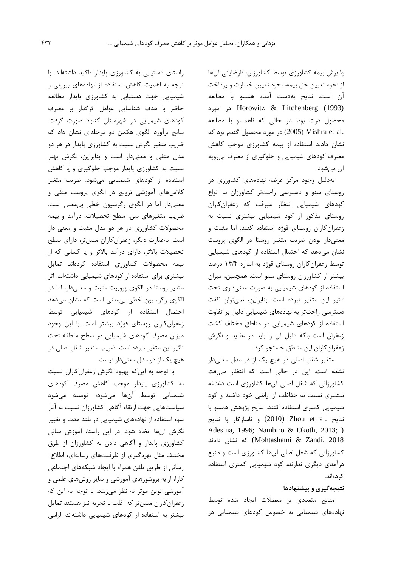پذيرش بیمه کشاورزي توسط کشاورزان، نارضايتی آنها از نحوه تعیین حق بیمه، نحوه تعیین خسارت و پرداخت آن است. نتايج بهدست آمده همسو با مطالعه (1993) Litchenberg & Horowitz در مورد محصول ذرت بود. در حالی که ناهمسو با مطالعه .al et Mishra( 2005 )در مورد محصول گندم بود که نشان دادند استفاده از بیمه کشاورزي موجب کاهش مصرف کودهاي شیمیايی و جلوگیري از مصرف بیرويه آن میشود.

بهدلیل وجود مرکز عرضه نهادههاي کشاورزي در روستاي سنو و دسترسی راحتتر کشاورزان به انواع کودهاي شیمیايی انتظار میرفت که زعفرانکاران روستاي مذکور از کود شیمیايی بیشتري نسبت به زعفرانکاران روستاي قوژد استفاده کنند. اما مثبت و معنیدار بودن ضريب متغیر روستا در الگوي پروبیت نشان میدهد که احتمال استفاده از کودهاي شیمیايی توسط زعفرانکاران روستاي قوژد به اندازه 14/4 درصد بیشتر از کشاورزان روستاي سنو است. همچنین، میزان استفاده از کودهاي شیمیايی به صورت معنیداري تحت تاثیر اين متغیر نبوده است. بنابراين، نمیتوان گفت دسترسی راحتتر به نهادههاي شیمیايی دلیل بر تفاوت استفاده از کودهاي شیمیايی در مناطق مختلف کشت زعفران است بلکه دلیل آن را بايد در عقايد و نگرش زعفرانکاران اين مناطق جستجو کرد.

متغیر شغل اصلی در هیچ يک از دو مدل معنیدار نشده است. اين در حالی است که انتظار میرفت کشاورزانی که شغل اصلی آنها کشاورزي است دغدغه بیشتري نسبت به حفاظت از اراضی خود داشته و کود شیمیايی کمتري استفاده کنند. نتايج پژوهش همسو با نتايج .al et Zhou( 2010 )و ناسازگار با نتايج Adesina, 1996; Nambiro & Okoth, 2013; ) كه نشان دادند (Mohtashami & Zandi, 2018 کشاورزانی که شغل اصلی آنها کشاورزي است و منبع درآمدي ديگري ندارند، کود شیمیايی کمتري استفاده کردهاند.

## **نتيجهگيري و پيشنهادها**

منابع متعددي بر معضالت ايجاد شده توسط نهادههاي شیمیايی به خصوص کودهاي شیمیايی در

راستاي دستیابی به کشاورزي پايدار تاکید داشتهاند. با توجه به اهمیت کاهش استفاده از نهادههاي بیرونی و شیمیايی جهت دستیابی به کشاورزي پايدار مطالعه حاضر با هدف شناسايی عوامل اثرگذار بر مصرف کودهاي شیمیايی در شهرستان گناباد صورت گرفت. نتايج برآورد الگوي هکمن دو مرحلهاي نشان داد که ضريب متغیر نگرش نسبت به کشاورزي پايدار در هر دو مدل منفی و معنیدار است و بنابراين، نگرش بهتر نسبت به کشاورزي پايدار موجب جلوگیري و يا کاهش استفاده از کودهاي شیمیايی میشود. ضريب متغیر کالسهاي آموزشی ترويج در الگوي پروبیت منفی و معنیدار اما در الگوي رگرسیون خطی بیمعنی است. ضريب متغیرهاي سن، سطح تحصیالت، درآمد و بیمه محصوالت کشاورزي در هر دو مدل مثبت و معنی دار است. بهعبارت ديگر، زعفرانکاران مسنتر، داراي سطح تحصیالت باالتر، داراي درآمد باالتر و يا کسانی که از بیمه محصوالت کشاورزي استفاده کردهاند تمايل بیشتري براي استفاده از کودهاي شیمیايی داشتهاند. اثر متغیر روستا در الگوي پروبیت مثبت و معنیدار، اما در الگوي رگرسیون خطی بیمعنی است که نشان میدهد احتمال استفاده از کودهاي شیمیايی توسط زعفرانکاران روستاي قوژد بیشتر است. با اين وجود میزان مصرف کودهاي شیمیايی در سطح منطقه تحت تاثیر اين متغیر نبوده است. ضريب متغیر شغل اصلی در هیچ يک از دو مدل معنیدار نیست.

با توجه به اينکه بهبود نگرش زعفرانکاران نسبت به کشاورزي پايدار موجب کاهش مصرف کودهاي شیمیايی توسط آنها میشود؛ توصیه میشود سیاستهايی جهت ارتقاء آگاهی کشاورزان نسبت به آثار سوء استفاده از نهادههاي شیمیايی در بلند مدت و تغییر نگرش آنها اتخاذ شود. در اين راستا، آموزش مبانی کشاورزي پايدار و آگاهی دادن به کشاورزان از طرق مختلف مثل بهرهگیري از ظرفیتهاي رسانهاي، اطالع- رسانی از طريق تلفن همراه با ايجاد شبکههاي اجتماعی کارا، ارايه بروشورهاي آموزشی و ساير روشهاي علمی و آموزشی نوين موثر به نظر میرسد. با توجه به اين که زعفرانکاران مسنتر که اغلب با تجربه نیز هستند تمايل بیشتر به استفاده از کودهاي شیمیايی داشتهاند الزامی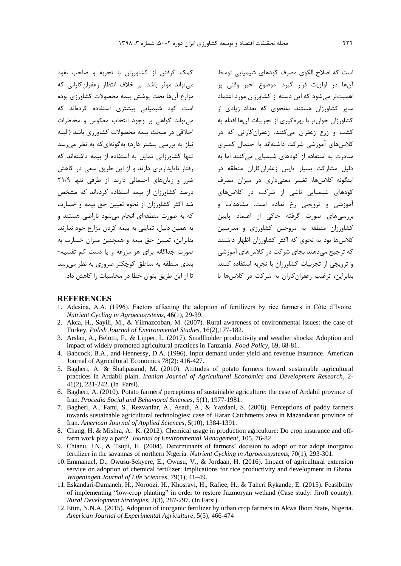کمک گرفتن از کشاورزان با تجربه و صاحب نفوذ میتواند موثر باشد. بر خالف انتظار زعفرانکارانی که مزارع آنها تحت پوشش بیمه محصوالت کشاورزي بوده است کود شیمیايی بیشتري استفاده کردهاند که میتواند گواهی بر وجود انتخاب معکوس و مخاطرات اخالقی در مبحث بیمه محصوالت کشاورزي باشد )البته نیاز به بررسی بیشتر دارد) بهگونهای که به نظر می رسد تنها کشاورزانی تمايل به استفاده از بیمه داشتهاند که رفتار ناپايدارتري دارند و از اين طريق سعی در کاهش ضرر و زيانهاي احتمالی دارند. از طرفی تنها 21/9 درصد کشاورزان از بیمه استفاده کردهاند که مشخص شد اکثر کشاورزان از نحوه تعیین حق بیمه و خسارت که به صورت منطقهاي انجام میشود ناراضی هستند و به همین دلیل، تمايلی به بیمه کردن مزارع خود ندارند. بنابراين، تعیین حق بیمه و همچنین میزان خسارت به صورت جداگانه براي هر مزرعه و يا دست کم تقسیم- بندي منطقه به مناطق کوچکتر ضروري به نظر میرسد تا از اين طريق بتوان خطا در محاسبات را کاهش داد.

است که اصالح الگوي مصرف کودهاي شیمیايی توسط آنها در اولويت قرار گیرد. موضوع اخیر وقتی پر اهمیتتر میشود که اين دسته از کشاورزان مورد اعتماد ساير کشاورزان هستند. بهنحوي که تعداد زيادي از کشاورزان جوانتر با بهرهگیري از تجربیات آنها اقدام به کشت و زرع زعفران میکنند. زعفرانکارانی که در کالسهاي آموزشی شرکت داشتهاند با احتمال کمتري مبادرت به استفاده از کودهاي شیمیايی میکنند اما به دلیل مشارکت بسیار پايین زعفرانکاران منطقه در اينگونه کالسها، تغییر معنیداري در میزان مصرف کودهاي شیمیايی ناشی از شرکت در کالسهاي آموزشی و ترويجی رخ نداده است. مشاهدات و بررسیهاي صورت گرفته حاکی از اعتماد پايین کشاورزان منطقه به مروجین کشاورزي و مدرسین کالسها بود به نحوي که اکثر کشاورزان اظهار داشتند که ترجیح میدهند بجاي شرکت در کالسهاي آموزشی و ترويجی از تجربیات کشاورزان با تجربه استفاده کنند. بنابراين، ترغیب زعفرانکاران به شرکت در کالسها با

#### **REFERENCES**

- 1. Adesina, A.A. (1996). Factors affecting the adoption of fertilizers by rice farmers in Côte d'Ivoire. *Nutrient Cycling in Agroecosystems*, 46(1), 29-39.
- 2. Akca, H., Sayili, M., & Yilmazcoban, M. (2007). Rural awareness of environmental issues: the case of Turkey. *Polish Journal of Environmental Studies*, 16(2),177-182.
- 3. Arslan, A., Belotti, F., & Lipper, L. (2017). Smallholder productivity and weather shocks: Adoption and impact of widely promoted agricultural practices in Tanzania. *Food Policy*, 69, 68-81.
- 4. Babcock, B.A., and Hennessy, D.A. (1996). Input demand under yield and revenue insurance. American Journal of Agricultural Economics 78(2): 416-427.
- 5. Bagheri, A. & Shahpasand, M. (2010). Attitudes of potato farmers toward sustainable agricultural practices in Ardabil plain. *Iranian Journal of Agricultural Economics and Development Research*, 2- 41(2), 231-242. (In Farsi).
- 6. Bagheri, A. (2010). Potato farmers' perceptions of sustainable agriculture: the case of Ardabil province of Iran. *Procedia Social and Behavioral Sciences*, 5(1), 1977-1981.
- 7. Bagheri, A., Fami, S., Rezvanfar, A., Asadi, A., & Yazdani, S. (2008). Perceptions of paddy farmers towards sustainable agricultural technologies: case of Haraz Catchments area in Mazandaran province of Iran. *American Journal of Applied Sciences*, 5(10), 1384-1391.
- 8. Chang, H. & Mishra, A. K. (2012). Chemical usage in production agriculture: Do crop insurance and offfarm work play a part?. *Journal of Environmental Management*, 105, 76-82.
- 9. Chianu, J.N., & Tsujii, H. (2004). Determinants of farmers' decision to adopt or not adopt inorganic fertilizer in the savannas of northern Nigeria. *Nutrient Cycking in Agroecosystems*, 70(1), 293-301.
- 10. Emmanuel, D., Owusu-Sekyere, E., Owusu, V., & Jordaan, H. (2016). Impact of agricultural extension service on adoption of chemical fertilizer: Implications for rice productivity and development in Ghana. *Wageningen Journal of Life Sciences*, 79(1), 41–49.
- 11. Eskandari-Damaneh, H., Noroozi, H., Khosravi, H., Rafiee, H., & Taheri Rykande, E. (2015). Feasibility of implementing "low-crop planting" in order to restore Jazmoryan wetland (Case study: Jiroft county). *Rural Development Strategies*, 2(3), 287-297. (In Farsi).
- 12. Etim, N.N.A. (2015). Adoption of inorganic fertilizer by urban crop farmers in Akwa Ibom State, Nigeria. *American Journal of Experimental Agriculture*, 5(5), 466-474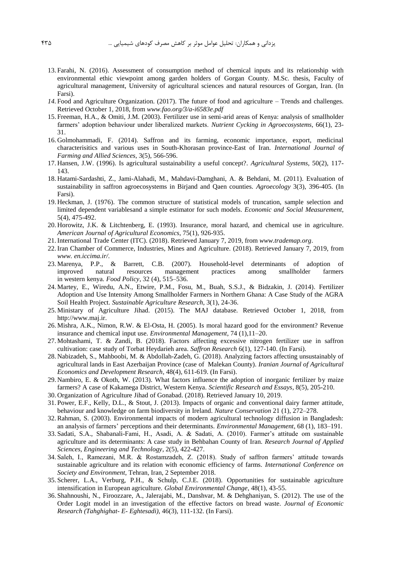- 13. Farahi, N. (2016). Assessment of consumption method of chemical inputs and its relationship with environmental ethic viewpoint among garden holders of Gorgan County. M.Sc. thesis, Faculty of agricultural management, University of agricultural sciences and natural resources of Gorgan, Iran. (In Farsi).
- *14.* Food and Agriculture Organization. (2017). The future of food and agriculture Trends and challenges. Retrieved October 1, 2018, from *www.fao.org/3/a-i6583e.pdf*
- 15. Freeman, H.A., & Omiti, J.M. (2003). Fertilizer use in semi-arid areas of Kenya: analysis of smallholder farmers' adoption behaviour under liberalized markets. *Nutrient Cycking in Agroecosystems*, 66(1), 23- 31.
- 16. Golmohammadi, F. (2014). Saffron and its farming, economic importance, export, medicinal characterisitics and various uses in South-Khorasan province-East of Iran. *International Journal of Farming and Allied Sciences*, 3(5), 566-596.
- 17. Hansen, J.W. (1996). Is agricultural sustainability a useful concept?. *Agricultural Systems*, 50(2), 117- 143.
- 18. Hatami-Sardashti, Z., Jami-Alahadi, M., Mahdavi-Damghani, A. & Behdani, M. (2011). Evaluation of sustainability in saffron agroecosystems in Birjand and Qaen counties. *Agroecology* 3(3), 396-405. (In Farsi).
- 19. Heckman, J. (1976). The common structure of statistical models of truncation, sample selection and limited dependent variablesand a simple estimator for such models. *Economic and Social Measurement*, 5(4), 475-492.
- 20. Horowitz, J.K. & Litchtenberg, E. (1993). Insurance, moral hazard, and chemical use in agriculture. *American Journal of Agricultural Economics*, 75(1), 926-935.
- 21.International Trade Center (ITC). (2018). Retrieved January 7, 2019, from *www.trademap.org*.
- 22.Iran Chamber of Commerce, Industries, Mines and Agriculture. (2018). Retrieved January 7, 2019, from *www. en.iccima.ir/*.
- 23. Marenya, P.P., & Barrett, C.B. (2007). Household-level determinants of adoption of improved natural resources management practices among smallholder farmers in western kenya. *Food Policy*, 32 (4), 515–536.
- 24. Martey, E., Wiredu, A.N., Etwire, P.M., Fosu, M., Buah, S.S.J., & Bidzakin, J. (2014). Fertilizer Adoption and Use Intensity Among Smallholder Farmers in Northern Ghana: A Case Study of the AGRA Soil Health Project. *Sustainable Agriculture Research*, 3(1), 24-36.
- 25. Ministary of Agriculture Jihad. (2015). The MAJ database. Retrieved October 1, 2018, from http://www.maj.ir.
- 26. Mishra, A.K., Nimon, R.W. & El-Osta, H. (2005). Is moral hazard good for the environment? Revenue insurance and chemical input use. *Environmental Management*, 74 (1),11–20.
- 27. Mohtashami, T. & Zandi, B. (2018). Factors affecting excessive nitrogen fertilizer use in saffron cultivation: case study of Torbat Heydarieh area. *Saffron Research* 6(1), 127-140. (In Farsi).
- 28. Nabizadeh, S., Mahboobi, M. & Abdollah-Zadeh, G. (2018). Analyzing factors affecting unsustainably of agricultural lands in East Azerbaijan Province (case of Malekan County). *Iranian Journal of Agricultural Economics and Development Research,* 48(4), 611-619. (In Farsi).
- 29. Nambiro, E. & Okoth, W. (2013). What factors influence the adoption of inorganic fertilizer by maize farmers? A case of Kakamega District, Western Kenya. *Scientific Research and Essays*, 8(5), 205-210.
- 30. Organization of Agriculture Jihad of Gonabad. (2018). Retrieved January 10, 2019.
- 31. Power, E.F., Kelly, D.L., & Stout, J. (2013). Impacts of organic and conventional dairy farmer attitude, behaviour and knowledge on farm biodiversity in Ireland. *Nature Conservation* 21 (1), 272–278.
- 32.Rahman, S. (2003). Environmental impacts of modern agricultural technology diffusion in Bangladesh: an analysis of farmers' perceptions and their determinants. *Environmental Management*, 68 (1), 183–191.
- 33. Sadati, S.A., Shabanali-Fami, H., Asadi, A. & Sadati, A. (2010). Farmer's attitude om sustainable agriculture and its determinants: A case study in Behbahan County of Iran. *Research Journal of Applied Sciences, Engineering and Technology*, 2(5), 422-427.
- 34. Saleh, I., Ramezani, M.R. & Rostamzadeh, Z. (2018). Study of saffron farmers' attitude towards sustainable agriculture and its relation with economic efficiency of farms. *International Conference on Society and Environment*, Tehran, Iran, 2 September 2018.
- 35. Scherer, L.A., Verburg, P.H., & Schulp, C.J.E. (2018). Opportunities for sustainable agriculture intensification in European agriculture. *Global Environmental Change*, 48(1), 43-55.
- 36. Shahnoushi, N., Firoozzare, A., Jalerajabi, M., Danshvar, M. & Dehghaniyan, S. (2012). The use of the Order Logit model in an investigation of the effective factors on bread waste. *Journal of Economic Research (Tahghighat- E- Eghtesadi)*, 46(3), 111-132. (In Farsi).